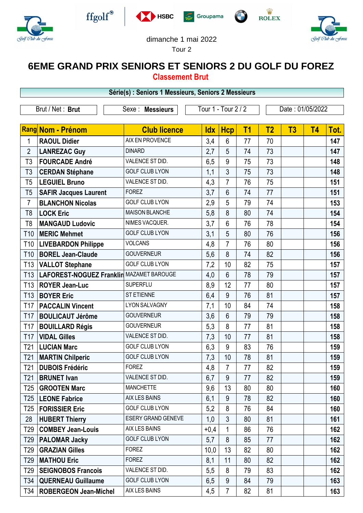

 $\sqrt{2}$ 











Tour 2

## **6EME GRAND PRIX SENIORS ET SENIORS 2 DU GOLF DU FOREZ**

**Classement Brut**

| Série(s) : Seniors 1 Messieurs, Seniors 2 Messieurs |                                          |                           |                     |                |                |                  |    |           |      |  |
|-----------------------------------------------------|------------------------------------------|---------------------------|---------------------|----------------|----------------|------------------|----|-----------|------|--|
| Brut / Net: Brut                                    |                                          | Sexe : Messieurs          | Tour 1 - Tour 2 / 2 |                |                | Date: 01/05/2022 |    |           |      |  |
|                                                     | <b>Rang Nom - Prénom</b>                 | <b>Club licence</b>       | <b>Idx</b>          | <b>Hcp</b>     | T <sub>1</sub> | T <sub>2</sub>   | T3 | <b>T4</b> | Tot. |  |
| 1                                                   | <b>RAOUL Didier</b>                      | AIX EN PROVENCE           | 3,4                 | $6\phantom{1}$ | 77             | 70               |    |           | 147  |  |
| $\overline{2}$                                      | <b>LANREZAC Guy</b>                      | <b>DINARD</b>             | 2,7                 | 5              | 74             | 73               |    |           | 147  |  |
| T <sub>3</sub>                                      | <b>FOURCADE André</b>                    | VALENCE ST DID.           | 6,5                 | 9              | 75             | 73               |    |           | 148  |  |
| T3                                                  | <b>CERDAN Stéphane</b>                   | <b>GOLF CLUB LYON</b>     | 1,1                 | 3              | 75             | 73               |    |           | 148  |  |
| T <sub>5</sub>                                      | <b>LEGUIEL Bruno</b>                     | VALENCE ST DID.           | 4,3                 | $\overline{7}$ | 76             | 75               |    |           | 151  |  |
| T <sub>5</sub>                                      | <b>SAFIR Jacques Laurent</b>             | <b>FOREZ</b>              | 3,7                 | $6\phantom{1}$ | 74             | 77               |    |           | 151  |  |
| $\overline{7}$                                      | <b>BLANCHON Nicolas</b>                  | <b>GOLF CLUB LYON</b>     | 2,9                 | 5              | 79             | 74               |    |           | 153  |  |
| T <sub>8</sub>                                      | <b>LOCK Eric</b>                         | <b>MAISON BLANCHE</b>     | 5,8                 | 8              | 80             | 74               |    |           | 154  |  |
| T8                                                  | <b>MANGAUD Ludovic</b>                   | NIMES VACQUER.            | 3,7                 | $6\phantom{1}$ | 76             | 78               |    |           | 154  |  |
| T <sub>10</sub>                                     | <b>MERIC Mehmet</b>                      | <b>GOLF CLUB LYON</b>     | 3,1                 | 5              | 80             | 76               |    |           | 156  |  |
| T <sub>10</sub>                                     | <b>LIVEBARDON Philippe</b>               | <b>VOLCANS</b>            | 4,8                 | $\overline{7}$ | 76             | 80               |    |           | 156  |  |
| T <sub>10</sub>                                     | <b>BOREL Jean-Claude</b>                 | <b>GOUVERNEUR</b>         | 5,6                 | 8              | 74             | 82               |    |           | 156  |  |
| T <sub>13</sub>                                     | <b>VALLOT Stephane</b>                   | <b>GOLF CLUB LYON</b>     | 7,2                 | 10             | 82             | 75               |    |           | 157  |  |
| T <sub>13</sub>                                     | LAFOREST-NOGUEZ Franklin MAZAMET BAROUGE |                           | 4,0                 | $6\phantom{1}$ | 78             | 79               |    |           | 157  |  |
| T <sub>13</sub>                                     | <b>ROYER Jean-Luc</b>                    | <b>SUPERFLU</b>           | 8,9                 | 12             | 77             | 80               |    |           | 157  |  |
| T <sub>13</sub>                                     | <b>BOYER Eric</b>                        | ST ETIENNE                | 6,4                 | 9              | 76             | 81               |    |           | 157  |  |
| <b>T17</b>                                          | <b>PACCALIN Vincent</b>                  | <b>LYON SALVAGNY</b>      | 7,1                 | 10             | 84             | 74               |    |           | 158  |  |
| T17                                                 | <b>BOULICAUT Jérôme</b>                  | <b>GOUVERNEUR</b>         | 3,6                 | $6\phantom{1}$ | 79             | 79               |    |           | 158  |  |
| T <sub>17</sub>                                     | <b>BOUILLARD Régis</b>                   | <b>GOUVERNEUR</b>         | 5,3                 | 8              | 77             | 81               |    |           | 158  |  |
| <b>T17</b>                                          | <b>VIDAL Gilles</b>                      | VALENCE ST DID.           | 7,3                 | 10             | 77             | 81               |    |           | 158  |  |
| T <sub>21</sub>                                     | <b>LUCIAN Marc</b>                       | <b>GOLF CLUB LYON</b>     | 6,3                 | 9              | 83             | 76               |    |           | 159  |  |
| T <sub>21</sub>                                     | <b>MARTIN Chilperic</b>                  | <b>GOLF CLUB LYON</b>     | 7,3                 | 10             | 78             | 81               |    |           | 159  |  |
|                                                     | T21   DUBOIS Frédéric                    | <b>FOREZ</b>              | 4,8                 | $\overline{7}$ | 77             | 82               |    |           | 159  |  |
| T <sub>21</sub>                                     | <b>BRUNET</b> Ivan                       | VALENCE ST DID.           | 6,7                 | 9              | 77             | 82               |    |           | 159  |  |
| T25                                                 | <b>GROOTEN Marc</b>                      | <b>MANCHETTE</b>          | 9,6                 | 13             | 80             | 80               |    |           | 160  |  |
| T <sub>25</sub>                                     | <b>LEONE Fabrice</b>                     | AIX LES BAINS             | 6,1                 | 9              | 78             | 82               |    |           | 160  |  |
| T25                                                 | <b>FORISSIER Eric</b>                    | <b>GOLF CLUB LYON</b>     | 5,2                 | 8              | 76             | 84               |    |           | 160  |  |
| 28                                                  | <b>HUBERT Thierry</b>                    | <b>ESERY GRAND GENEVE</b> | 1,0                 | $\mathfrak{Z}$ | 80             | 81               |    |           | 161  |  |
| T <sub>29</sub>                                     | <b>COMBEY Jean-Louis</b>                 | AIX LES BAINS             | $+0,4$              | $\mathbf{1}$   | 86             | 76               |    |           | 162  |  |
| T <sub>29</sub>                                     | <b>PALOMAR Jacky</b>                     | <b>GOLF CLUB LYON</b>     | 5,7                 | 8              | 85             | 77               |    |           | 162  |  |
| T29                                                 | <b>GRAZIAN Gilles</b>                    | <b>FOREZ</b>              | 10,0                | 13             | 82             | 80               |    |           | 162  |  |
| T <sub>29</sub>                                     | <b>MATHOU Eric</b>                       | <b>FOREZ</b>              | 8,1                 | 11             | 80             | 82               |    |           | 162  |  |
| T <sub>29</sub>                                     | <b>SEIGNOBOS Francois</b>                | VALENCE ST DID.           | 5,5                 | 8              | 79             | 83               |    |           | 162  |  |
| T34                                                 | <b>QUERNEAU Guillaume</b>                | <b>GOLF CLUB LYON</b>     | 6,5                 | 9              | 84             | 79               |    |           | 163  |  |
|                                                     | T34   ROBERGEON Jean-Michel              | AIX LES BAINS             | 4,5                 | $\overline{7}$ | 82             | 81               |    |           | 163  |  |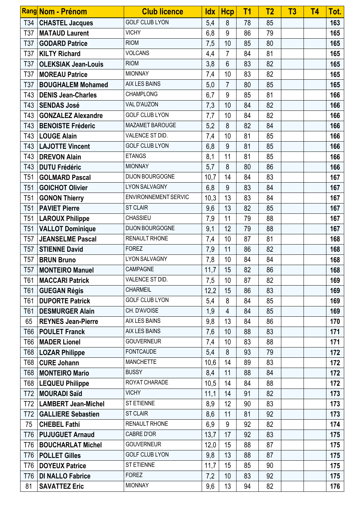|                 | Rang Nom - Prénom          | <b>Club licence</b>   | <b>Idx</b> | <b>Hcp</b>     | T <sub>1</sub> | T <sub>2</sub> | T <sub>3</sub> | <b>T4</b> | Tot. |
|-----------------|----------------------------|-----------------------|------------|----------------|----------------|----------------|----------------|-----------|------|
| T34             | <b>CHASTEL Jacques</b>     | <b>GOLF CLUB LYON</b> | 5,4        | 8              | 78             | 85             |                |           | 163  |
| T37             | <b>MATAUD Laurent</b>      | <b>VICHY</b>          | 6,8        | 9              | 86             | 79             |                |           | 165  |
| T37             | <b>GODARD Patrice</b>      | <b>RIOM</b>           | 7,5        | 10             | 85             | 80             |                |           | 165  |
| T37             | <b>KILTY Richard</b>       | <b>VOLCANS</b>        | 4,4        | $\overline{7}$ | 84             | 81             |                |           | 165  |
| T37             | <b>OLEKSIAK Jean-Louis</b> | <b>RIOM</b>           | 3,8        | $6\phantom{1}$ | 83             | 82             |                |           | 165  |
| T37             | <b>MOREAU Patrice</b>      | <b>MIONNAY</b>        | 7,4        | 10             | 83             | 82             |                |           | 165  |
| T37             | <b>BOUGHALEM Mohamed</b>   | <b>AIX LES BAINS</b>  | 5,0        | $\overline{7}$ | 80             | 85             |                |           | 165  |
| T43             | <b>DENIS Jean-Charles</b>  | <b>CHAMPLONG</b>      | 6,7        | 9              | 85             | 81             |                |           | 166  |
| T43             | <b>SENDAS José</b>         | VAL D'AUZON           | 7,3        | 10             | 84             | 82             |                |           | 166  |
| T43             | <b>GONZALEZ Alexandre</b>  | <b>GOLF CLUB LYON</b> | 7,7        | 10             | 84             | 82             |                |           | 166  |
| T43             | <b>BENOISTE Fréderic</b>   | MAZAMET BAROUGE       | 5,2        | 8              | 82             | 84             |                |           | 166  |
| T43             | <b>LOUGE Alain</b>         | VALENCE ST DID.       | 7,4        | 10             | 81             | 85             |                |           | 166  |
| T43             | <b>LAJOTTE Vincent</b>     | <b>GOLF CLUB LYON</b> | 6,8        | 9              | 81             | 85             |                |           | 166  |
| T43             | DREVON Alain               | <b>ETANGS</b>         | 8,1        | 11             | 81             | 85             |                |           | 166  |
| T43             | <b>DUTU Frédéric</b>       | <b>MIONNAY</b>        | 5,7        | 8              | 80             | 86             |                |           | 166  |
| T <sub>51</sub> | <b>GOLMARD Pascal</b>      | DIJON BOURGOGNE       | 10,7       | 14             | 84             | 83             |                |           | 167  |
| T <sub>51</sub> | <b>GOICHOT Olivier</b>     | <b>LYON SALVAGNY</b>  | 6,8        | 9              | 83             | 84             |                |           | 167  |
| T <sub>51</sub> | <b>GONON Thierry</b>       | ENVIRONNEMENT SERVIC  | 10,3       | 13             | 83             | 84             |                |           | 167  |
| T <sub>51</sub> | <b>PAVIET Pierre</b>       | <b>ST CLAIR</b>       | 9,6        | 13             | 82             | 85             |                |           | 167  |
| T <sub>51</sub> | <b>LAROUX Philippe</b>     | CHASSIEU              | 7,9        | 11             | 79             | 88             |                |           | 167  |
| T <sub>51</sub> | <b>VALLOT Dominique</b>    | DIJON BOURGOGNE       | 9,1        | 12             | 79             | 88             |                |           | 167  |
| T <sub>57</sub> | <b>JEANSELME Pascal</b>    | <b>RENAULT RHONE</b>  | 7,4        | 10             | 87             | 81             |                |           | 168  |
| T <sub>57</sub> | <b>STIENNE David</b>       | <b>FOREZ</b>          | 7,9        | 11             | 86             | 82             |                |           | 168  |
| T <sub>57</sub> | <b>BRUN Bruno</b>          | <b>LYON SALVAGNY</b>  | 7,8        | 10             | 84             | 84             |                |           | 168  |
| <b>T57</b>      | <b>MONTEIRO Manuel</b>     | CAMPAGNE              | 11,7       | 15             | 82             | 86             |                |           | 168  |
| T61             | <b>MACCARI Patrick</b>     | VALENCE ST DID.       | 7,5        | 10             | 87             | 82             |                |           | 169  |
| T61             | <b>GUEGAN Régis</b>        | <b>CHARMEIL</b>       | 12,2       | 15             | 86             | 83             |                |           | 169  |
| T61             | <b>DUPORTE Patrick</b>     | <b>GOLF CLUB LYON</b> | 5,4        | 8              | 84             | 85             |                |           | 169  |
| T61             | <b>DESMURGER Alain</b>     | CH. D'AVOISE          | 1,9        | 4              | 84             | 85             |                |           | 169  |
| 65              | <b>REYNES Jean-Pierre</b>  | AIX LES BAINS         | 9,8        | 13             | 84             | 86             |                |           | 170  |
| T66             | <b>POULET Franck</b>       | AIX LES BAINS         | 7,6        | 10             | 88             | 83             |                |           | 171  |
| T66             | <b>MADER Lionel</b>        | <b>GOUVERNEUR</b>     | 7,4        | 10             | 83             | 88             |                |           | 171  |
| T68             | <b>LOZAR Philippe</b>      | <b>FONTCAUDE</b>      | 5,4        | 8              | 93             | 79             |                |           | 172  |
| T68             | <b>CURE Johann</b>         | <b>MANCHETTE</b>      | 10,6       | 14             | 89             | 83             |                |           | 172  |
| T68             | <b>MONTEIRO Mario</b>      | <b>BUSSY</b>          | 8,4        | 11             | 88             | 84             |                |           | 172  |
| T68             | <b>LEQUEU Philippe</b>     | ROYAT CHARADE         | 10,5       | 14             | 84             | 88             |                |           | 172  |
| T72             | <b>MOURADI Saïd</b>        | <b>VICHY</b>          | 11,1       | 14             | 91             | 82             |                |           | 173  |
| T72             | <b>LAMBERT Jean-Michel</b> | ST ETIENNE            | 8,9        | 12             | 90             | 83             |                |           | 173  |
| T72             | <b>GALLIERE Sebastien</b>  | <b>ST CLAIR</b>       | 8,6        | 11             | 81             | 92             |                |           | 173  |
| 75              | <b>CHEBEL Fathi</b>        | RENAULT RHONE         | 6,9        | 9              | 92             | 82             |                |           | 174  |
| T76             | <b>PUJUGUET Arnaud</b>     | CABRE D'OR            | 13,7       | 17             | 92             | 83             |                |           | 175  |
| T76             | <b>BOUCHARLAT Michel</b>   | <b>GOUVERNEUR</b>     | 12,0       | 15             | 88             | 87             |                |           | 175  |
| T76             | <b>POLLET Gilles</b>       | <b>GOLF CLUB LYON</b> | 9,8        | 13             | 88             | 87             |                |           | 175  |
| T76             | <b>DOYEUX Patrice</b>      | <b>ST ETIENNE</b>     | 11,7       | 15             | 85             | 90             |                |           | 175  |
| T76             | <b>DI NALLO Fabrice</b>    | <b>FOREZ</b>          | 7,2        | 10             | 83             | 92             |                |           | 175  |
| 81              | <b>SAVATTEZ Eric</b>       | <b>MIONNAY</b>        | 9,6        | 13             | 94             | 82             |                |           | 176  |